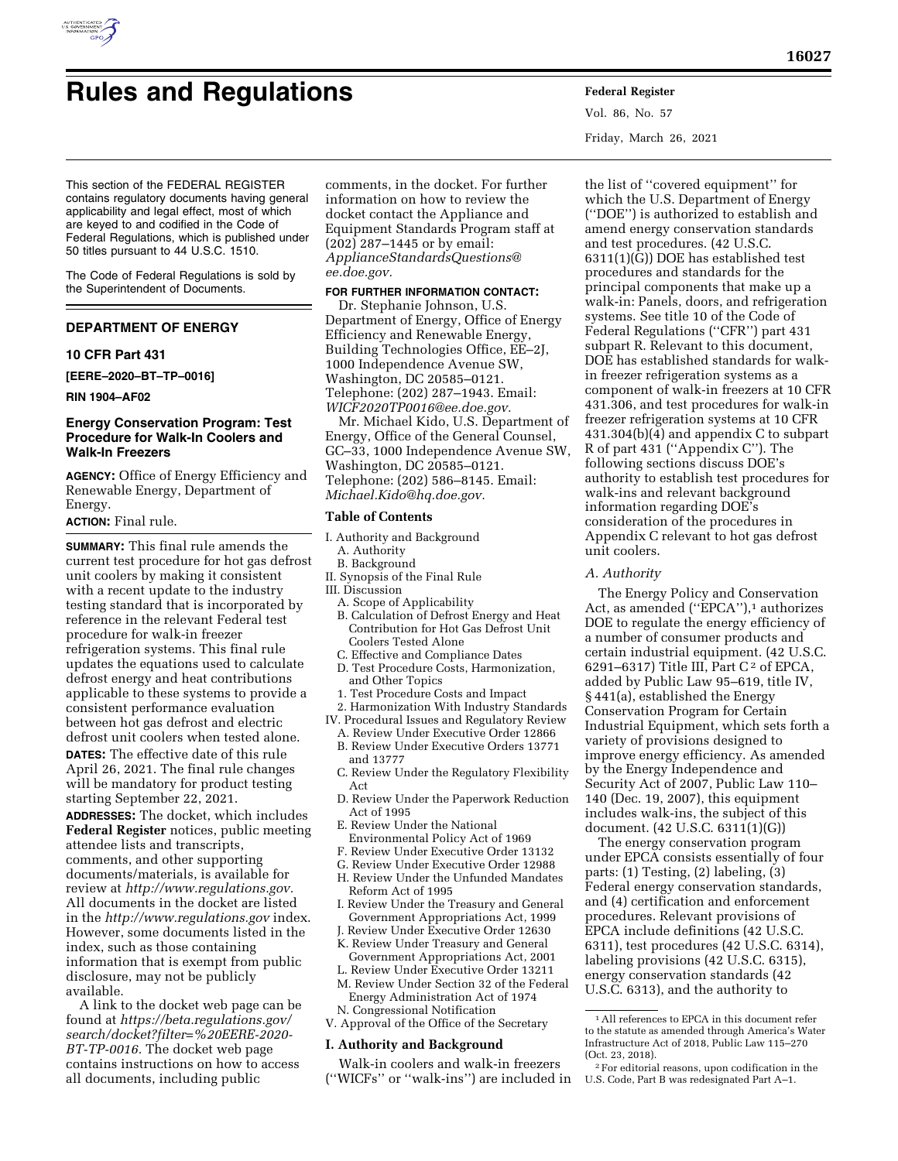

# **Rules and Regulations Federal Register**

Vol. 86, No. 57 Friday, March 26, 2021

This section of the FEDERAL REGISTER contains regulatory documents having general applicability and legal effect, most of which are keyed to and codified in the Code of Federal Regulations, which is published under 50 titles pursuant to 44 U.S.C. 1510.

The Code of Federal Regulations is sold by the Superintendent of Documents.

# **DEPARTMENT OF ENERGY**

# **10 CFR Part 431**

**[EERE–2020–BT–TP–0016]** 

**RIN 1904–AF02** 

# **Energy Conservation Program: Test Procedure for Walk-In Coolers and Walk-In Freezers**

**AGENCY:** Office of Energy Efficiency and Renewable Energy, Department of Energy.

#### **ACTION:** Final rule.

**SUMMARY:** This final rule amends the current test procedure for hot gas defrost unit coolers by making it consistent with a recent update to the industry testing standard that is incorporated by reference in the relevant Federal test procedure for walk-in freezer refrigeration systems. This final rule updates the equations used to calculate defrost energy and heat contributions applicable to these systems to provide a consistent performance evaluation between hot gas defrost and electric defrost unit coolers when tested alone. **DATES:** The effective date of this rule April 26, 2021. The final rule changes will be mandatory for product testing starting September 22, 2021.

**ADDRESSES:** The docket, which includes **Federal Register** notices, public meeting attendee lists and transcripts, comments, and other supporting documents/materials, is available for review at *[http://www.regulations.gov.](http://www.regulations.gov)*  All documents in the docket are listed in the *<http://www.regulations.gov>*index. However, some documents listed in the index, such as those containing information that is exempt from public disclosure, may not be publicly available.

A link to the docket web page can be found at *[https://beta.regulations.gov/](https://beta.regulations.gov/search/docket?filter=%20EERE-2020-BT-TP-0016)  [search/docket?filter=%20EERE-2020-](https://beta.regulations.gov/search/docket?filter=%20EERE-2020-BT-TP-0016)  [BT-TP-0016.](https://beta.regulations.gov/search/docket?filter=%20EERE-2020-BT-TP-0016)* The docket web page contains instructions on how to access all documents, including public

comments, in the docket. For further information on how to review the docket contact the Appliance and Equipment Standards Program staff at (202) 287–1445 or by email: *[ApplianceStandardsQuestions@](mailto:ApplianceStandardsQuestions@ee.doe.gov) [ee.doe.gov.](mailto:ApplianceStandardsQuestions@ee.doe.gov)* 

# **FOR FURTHER INFORMATION CONTACT:**

Dr. Stephanie Johnson, U.S. Department of Energy, Office of Energy Efficiency and Renewable Energy, Building Technologies Office, EE–2J, 1000 Independence Avenue SW, Washington, DC 20585–0121. Telephone: (202) 287–1943. Email: *[WICF2020TP0016@ee.doe.gov.](mailto:WICF2020TP0016@ee.doe.gov)* 

Mr. Michael Kido, U.S. Department of Energy, Office of the General Counsel, GC–33, 1000 Independence Avenue SW, Washington, DC 20585–0121. Telephone: (202) 586–8145. Email: *[Michael.Kido@hq.doe.gov.](mailto:Michael.Kido@hq.doe.gov)* 

# **Table of Contents**

- I. Authority and Background A. Authority
- B. Background
- II. Synopsis of the Final Rule
- III. Discussion
	- A. Scope of Applicability
	- B. Calculation of Defrost Energy and Heat Contribution for Hot Gas Defrost Unit Coolers Tested Alone
	- C. Effective and Compliance Dates
	- D. Test Procedure Costs, Harmonization, and Other Topics
	- 1. Test Procedure Costs and Impact
- 2. Harmonization With Industry Standards
- IV. Procedural Issues and Regulatory Review
	- A. Review Under Executive Order 12866 B. Review Under Executive Orders 13771
	- and 13777
	- C. Review Under the Regulatory Flexibility Act
	- D. Review Under the Paperwork Reduction Act of 1995
	- E. Review Under the National Environmental Policy Act of 1969
	- F. Review Under Executive Order 13132
	- G. Review Under Executive Order 12988
	- H. Review Under the Unfunded Mandates Reform Act of 1995
	- I. Review Under the Treasury and General Government Appropriations Act, 1999
	- J. Review Under Executive Order 12630
	- K. Review Under Treasury and General Government Appropriations Act, 2001
	- L. Review Under Executive Order 13211 M. Review Under Section 32 of the Federal
- Energy Administration Act of 1974 N. Congressional Notification
- V. Approval of the Office of the Secretary

# **I. Authority and Background**

Walk-in coolers and walk-in freezers (''WICFs'' or ''walk-ins'') are included in

the list of ''covered equipment'' for which the U.S. Department of Energy (''DOE'') is authorized to establish and amend energy conservation standards and test procedures. (42 U.S.C. 6311(1)(G)) DOE has established test procedures and standards for the principal components that make up a walk-in: Panels, doors, and refrigeration systems. See title 10 of the Code of Federal Regulations (''CFR'') part 431 subpart R. Relevant to this document, DOE has established standards for walkin freezer refrigeration systems as a component of walk-in freezers at 10 CFR 431.306, and test procedures for walk-in freezer refrigeration systems at 10 CFR 431.304(b)(4) and appendix C to subpart R of part 431 (''Appendix C''). The following sections discuss DOE's authority to establish test procedures for walk-ins and relevant background information regarding DOE's consideration of the procedures in Appendix C relevant to hot gas defrost unit coolers.

# *A. Authority*

The Energy Policy and Conservation Act, as amended ("EPCA"),<sup>1</sup> authorizes DOE to regulate the energy efficiency of a number of consumer products and certain industrial equipment. (42 U.S.C. 6291–6317) Title III, Part C<sup>2</sup> of EPCA, added by Public Law 95–619, title IV, § 441(a), established the Energy Conservation Program for Certain Industrial Equipment, which sets forth a variety of provisions designed to improve energy efficiency. As amended by the Energy Independence and Security Act of 2007, Public Law 110– 140 (Dec. 19, 2007), this equipment includes walk-ins, the subject of this document. (42 U.S.C. 6311(1)(G))

The energy conservation program under EPCA consists essentially of four parts: (1) Testing, (2) labeling, (3) Federal energy conservation standards, and (4) certification and enforcement procedures. Relevant provisions of EPCA include definitions (42 U.S.C. 6311), test procedures (42 U.S.C. 6314), labeling provisions (42 U.S.C. 6315), energy conservation standards (42 U.S.C. 6313), and the authority to

<sup>1</sup>All references to EPCA in this document refer to the statute as amended through America's Water Infrastructure Act of 2018, Public Law 115–270 (Oct. 23, 2018).

<sup>2</sup>For editorial reasons, upon codification in the U.S. Code, Part B was redesignated Part A–1.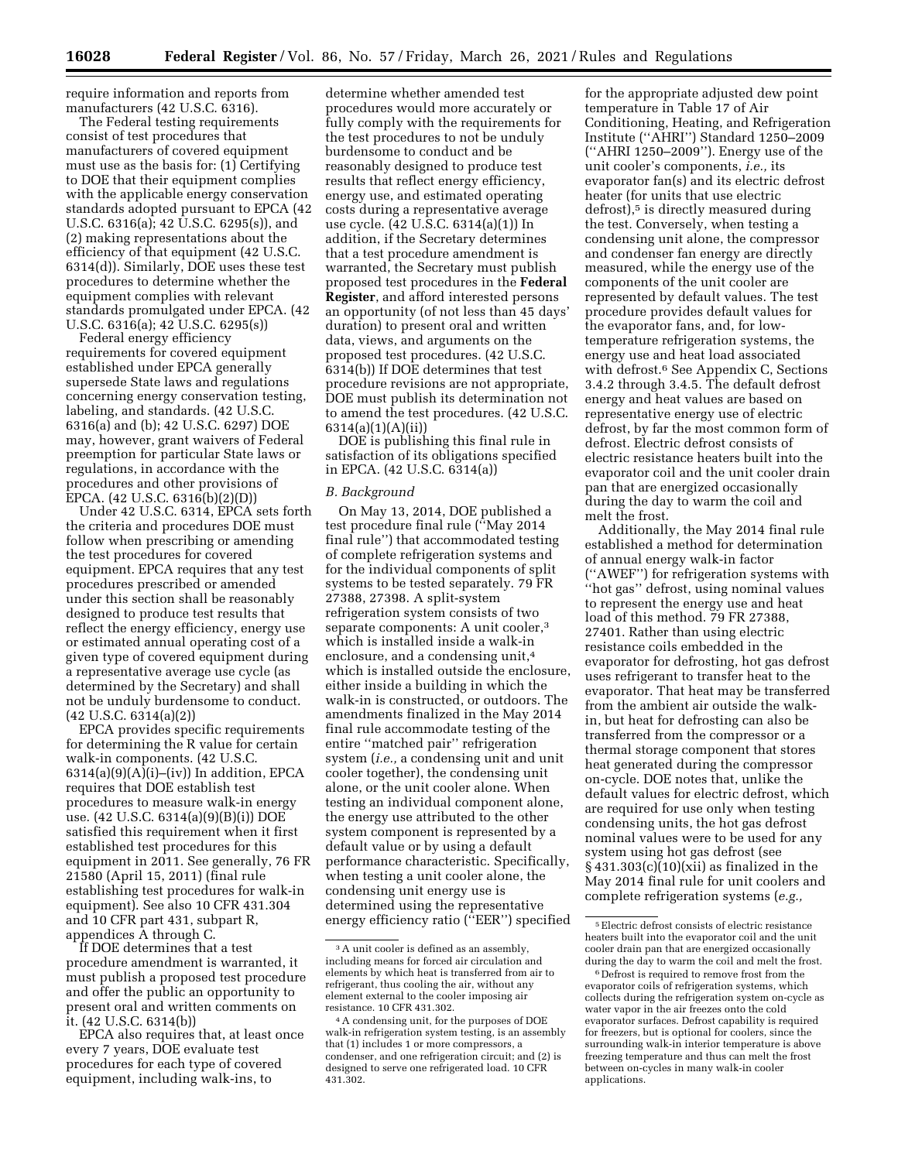require information and reports from manufacturers (42 U.S.C. 6316).

The Federal testing requirements consist of test procedures that manufacturers of covered equipment must use as the basis for: (1) Certifying to DOE that their equipment complies with the applicable energy conservation standards adopted pursuant to EPCA (42 U.S.C. 6316(a); 42 U.S.C. 6295(s)), and (2) making representations about the efficiency of that equipment (42 U.S.C. 6314(d)). Similarly, DOE uses these test procedures to determine whether the equipment complies with relevant standards promulgated under EPCA. (42 U.S.C. 6316(a); 42 U.S.C. 6295(s))

Federal energy efficiency requirements for covered equipment established under EPCA generally supersede State laws and regulations concerning energy conservation testing, labeling, and standards. (42 U.S.C. 6316(a) and (b); 42 U.S.C. 6297) DOE may, however, grant waivers of Federal preemption for particular State laws or regulations, in accordance with the procedures and other provisions of EPCA. (42 U.S.C. 6316(b)(2)(D))

Under 42 U.S.C. 6314, EPCA sets forth the criteria and procedures DOE must follow when prescribing or amending the test procedures for covered equipment. EPCA requires that any test procedures prescribed or amended under this section shall be reasonably designed to produce test results that reflect the energy efficiency, energy use or estimated annual operating cost of a given type of covered equipment during a representative average use cycle (as determined by the Secretary) and shall not be unduly burdensome to conduct. (42 U.S.C. 6314(a)(2))

EPCA provides specific requirements for determining the R value for certain walk-in components. (42 U.S.C.  $6314(a)(9)(A)(i)$ –(iv)) In addition, EPCA requires that DOE establish test procedures to measure walk-in energy use. (42 U.S.C. 6314(a)(9)(B)(i)) DOE satisfied this requirement when it first established test procedures for this equipment in 2011. See generally, 76 FR 21580 (April 15, 2011) (final rule establishing test procedures for walk-in equipment). See also 10 CFR 431.304 and 10 CFR part 431, subpart R, appendices A through C.

If DOE determines that a test procedure amendment is warranted, it must publish a proposed test procedure and offer the public an opportunity to present oral and written comments on it. (42 U.S.C. 6314(b))

EPCA also requires that, at least once every 7 years, DOE evaluate test procedures for each type of covered equipment, including walk-ins, to

determine whether amended test procedures would more accurately or fully comply with the requirements for the test procedures to not be unduly burdensome to conduct and be reasonably designed to produce test results that reflect energy efficiency, energy use, and estimated operating costs during a representative average use cycle. (42 U.S.C. 6314(a)(1)) In addition, if the Secretary determines that a test procedure amendment is warranted, the Secretary must publish proposed test procedures in the **Federal Register**, and afford interested persons an opportunity (of not less than 45 days' duration) to present oral and written data, views, and arguments on the proposed test procedures. (42 U.S.C. 6314(b)) If DOE determines that test procedure revisions are not appropriate, DOE must publish its determination not to amend the test procedures. (42 U.S.C. 6314(a)(1)(A)(ii))

DOE is publishing this final rule in satisfaction of its obligations specified in EPCA. (42 U.S.C. 6314(a))

#### *B. Background*

On May 13, 2014, DOE published a test procedure final rule (''May 2014 final rule'') that accommodated testing of complete refrigeration systems and for the individual components of split systems to be tested separately. 79 FR 27388, 27398. A split-system refrigeration system consists of two separate components: A unit cooler,3 which is installed inside a walk-in enclosure, and a condensing unit,<sup>4</sup> which is installed outside the enclosure, either inside a building in which the walk-in is constructed, or outdoors. The amendments finalized in the May 2014 final rule accommodate testing of the entire ''matched pair'' refrigeration system (*i.e.,* a condensing unit and unit cooler together), the condensing unit alone, or the unit cooler alone. When testing an individual component alone, the energy use attributed to the other system component is represented by a default value or by using a default performance characteristic. Specifically, when testing a unit cooler alone, the condensing unit energy use is determined using the representative energy efficiency ratio (''EER'') specified

for the appropriate adjusted dew point temperature in Table 17 of Air Conditioning, Heating, and Refrigeration Institute (''AHRI'') Standard 1250–2009 (''AHRI 1250–2009''). Energy use of the unit cooler's components, *i.e.,* its evaporator fan(s) and its electric defrost heater (for units that use electric defrost),<sup>5</sup> is directly measured during the test. Conversely, when testing a condensing unit alone, the compressor and condenser fan energy are directly measured, while the energy use of the components of the unit cooler are represented by default values. The test procedure provides default values for the evaporator fans, and, for lowtemperature refrigeration systems, the energy use and heat load associated with defrost.6 See Appendix C, Sections 3.4.2 through 3.4.5. The default defrost energy and heat values are based on representative energy use of electric defrost, by far the most common form of defrost. Electric defrost consists of electric resistance heaters built into the evaporator coil and the unit cooler drain pan that are energized occasionally during the day to warm the coil and melt the frost.

Additionally, the May 2014 final rule established a method for determination of annual energy walk-in factor (''AWEF'') for refrigeration systems with ''hot gas'' defrost, using nominal values to represent the energy use and heat load of this method. 79 FR 27388, 27401. Rather than using electric resistance coils embedded in the evaporator for defrosting, hot gas defrost uses refrigerant to transfer heat to the evaporator. That heat may be transferred from the ambient air outside the walkin, but heat for defrosting can also be transferred from the compressor or a thermal storage component that stores heat generated during the compressor on-cycle. DOE notes that, unlike the default values for electric defrost, which are required for use only when testing condensing units, the hot gas defrost nominal values were to be used for any system using hot gas defrost (see  $\S$  431.303(c)(10)(xii) as finalized in the May 2014 final rule for unit coolers and complete refrigeration systems (*e.g.,* 

<sup>3</sup>A unit cooler is defined as an assembly, including means for forced air circulation and elements by which heat is transferred from air to refrigerant, thus cooling the air, without any element external to the cooler imposing air resistance. 10 CFR 431.302.

<sup>4</sup>A condensing unit, for the purposes of DOE walk-in refrigeration system testing, is an assembly that (1) includes 1 or more compressors, a condenser, and one refrigeration circuit; and (2) is designed to serve one refrigerated load. 10 CFR 431.302.

<sup>5</sup>Electric defrost consists of electric resistance heaters built into the evaporator coil and the unit cooler drain pan that are energized occasionally during the day to warm the coil and melt the frost.

<sup>6</sup> Defrost is required to remove frost from the evaporator coils of refrigeration systems, which collects during the refrigeration system on-cycle as water vapor in the air freezes onto the cold evaporator surfaces. Defrost capability is required for freezers, but is optional for coolers, since the surrounding walk-in interior temperature is above freezing temperature and thus can melt the frost between on-cycles in many walk-in cooler applications.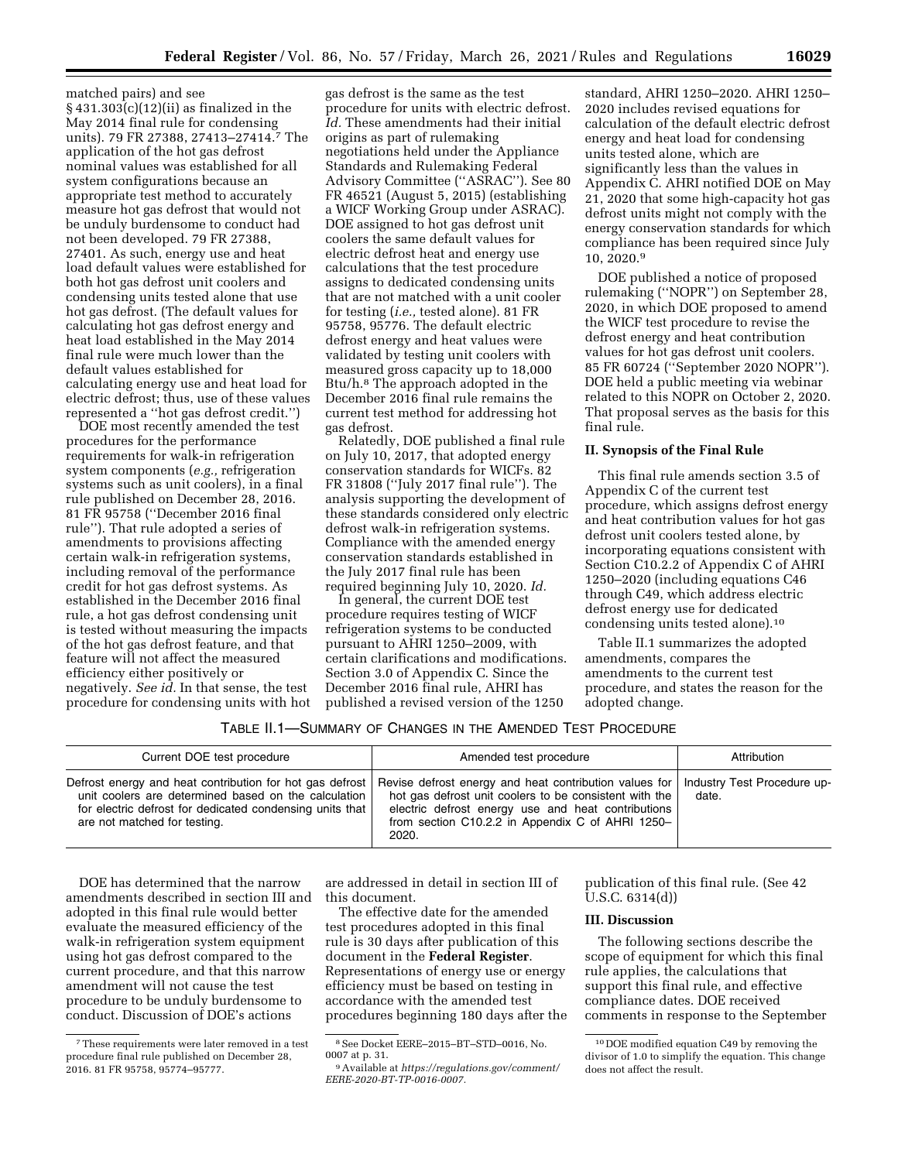matched pairs) and see § 431.303(c)(12)(ii) as finalized in the May 2014 final rule for condensing units). 79 FR 27388, 27413–27414.7 The application of the hot gas defrost nominal values was established for all system configurations because an appropriate test method to accurately measure hot gas defrost that would not be unduly burdensome to conduct had not been developed. 79 FR 27388, 27401. As such, energy use and heat load default values were established for both hot gas defrost unit coolers and condensing units tested alone that use hot gas defrost. (The default values for calculating hot gas defrost energy and heat load established in the May 2014 final rule were much lower than the default values established for calculating energy use and heat load for electric defrost; thus, use of these values represented a ''hot gas defrost credit.'')

DOE most recently amended the test procedures for the performance requirements for walk-in refrigeration system components (*e.g.,* refrigeration systems such as unit coolers), in a final rule published on December 28, 2016. 81 FR 95758 (''December 2016 final rule''). That rule adopted a series of amendments to provisions affecting certain walk-in refrigeration systems, including removal of the performance credit for hot gas defrost systems. As established in the December 2016 final rule, a hot gas defrost condensing unit is tested without measuring the impacts of the hot gas defrost feature, and that feature will not affect the measured efficiency either positively or negatively. *See id.* In that sense, the test procedure for condensing units with hot

gas defrost is the same as the test procedure for units with electric defrost. *Id.* These amendments had their initial origins as part of rulemaking negotiations held under the Appliance Standards and Rulemaking Federal Advisory Committee (''ASRAC''). See 80 FR 46521 (August 5, 2015) (establishing a WICF Working Group under ASRAC). DOE assigned to hot gas defrost unit coolers the same default values for electric defrost heat and energy use calculations that the test procedure assigns to dedicated condensing units that are not matched with a unit cooler for testing (*i.e.,* tested alone). 81 FR 95758, 95776. The default electric defrost energy and heat values were validated by testing unit coolers with measured gross capacity up to 18,000 Btu/h.8 The approach adopted in the December 2016 final rule remains the current test method for addressing hot gas defrost.

Relatedly, DOE published a final rule on July 10, 2017, that adopted energy conservation standards for WICFs. 82 FR 31808 (''July 2017 final rule''). The analysis supporting the development of these standards considered only electric defrost walk-in refrigeration systems. Compliance with the amended energy conservation standards established in the July 2017 final rule has been required beginning July 10, 2020. *Id.* 

In general, the current DOE test procedure requires testing of WICF refrigeration systems to be conducted pursuant to AHRI 1250–2009, with certain clarifications and modifications. Section 3.0 of Appendix C. Since the December 2016 final rule, AHRI has published a revised version of the 1250

standard, AHRI 1250–2020. AHRI 1250– 2020 includes revised equations for calculation of the default electric defrost energy and heat load for condensing units tested alone, which are significantly less than the values in Appendix C. AHRI notified DOE on May 21, 2020 that some high-capacity hot gas defrost units might not comply with the energy conservation standards for which compliance has been required since July 10, 2020.9

DOE published a notice of proposed rulemaking (''NOPR'') on September 28, 2020, in which DOE proposed to amend the WICF test procedure to revise the defrost energy and heat contribution values for hot gas defrost unit coolers. 85 FR 60724 (''September 2020 NOPR''). DOE held a public meeting via webinar related to this NOPR on October 2, 2020. That proposal serves as the basis for this final rule.

#### **II. Synopsis of the Final Rule**

This final rule amends section 3.5 of Appendix C of the current test procedure, which assigns defrost energy and heat contribution values for hot gas defrost unit coolers tested alone, by incorporating equations consistent with Section C10.2.2 of Appendix C of AHRI 1250–2020 (including equations C46 through C49, which address electric defrost energy use for dedicated condensing units tested alone).10

Table II.1 summarizes the adopted amendments, compares the amendments to the current test procedure, and states the reason for the adopted change.

# TABLE II.1—SUMMARY OF CHANGES IN THE AMENDED TEST PROCEDURE

| Current DOE test procedure                                                                                                                                                                                   | Amended test procedure                                                                                                                                                                                                              | Attribution                          |
|--------------------------------------------------------------------------------------------------------------------------------------------------------------------------------------------------------------|-------------------------------------------------------------------------------------------------------------------------------------------------------------------------------------------------------------------------------------|--------------------------------------|
| Defrost energy and heat contribution for hot gas defrost<br>unit coolers are determined based on the calculation<br>for electric defrost for dedicated condensing units that<br>are not matched for testing. | Revise defrost energy and heat contribution values for<br>hot gas defrost unit coolers to be consistent with the<br>electric defrost energy use and heat contributions<br>from section C10.2.2 in Appendix C of AHRI 1250-<br>2020. | Industry Test Procedure up-<br>date. |

DOE has determined that the narrow amendments described in section III and adopted in this final rule would better evaluate the measured efficiency of the walk-in refrigeration system equipment using hot gas defrost compared to the current procedure, and that this narrow amendment will not cause the test procedure to be unduly burdensome to conduct. Discussion of DOE's actions

are addressed in detail in section III of this document.

The effective date for the amended test procedures adopted in this final rule is 30 days after publication of this document in the **Federal Register**. Representations of energy use or energy efficiency must be based on testing in accordance with the amended test procedures beginning 180 days after the publication of this final rule. (See 42 U.S.C. 6314(d))

#### **III. Discussion**

The following sections describe the scope of equipment for which this final rule applies, the calculations that support this final rule, and effective compliance dates. DOE received comments in response to the September

<sup>7</sup>These requirements were later removed in a test procedure final rule published on December 28, 2016. 81 FR 95758, 95774–95777.

<sup>8</sup>See Docket EERE–2015–BT–STD–0016, No.

<sup>&</sup>lt;sup>9</sup> Available at *https://regulations.gov/comment/ [EERE-2020-BT-TP-0016-0007.](https://regulations.gov/comment/EERE-2020-BT-TP-0016-0007)* 

<sup>10</sup> DOE modified equation C49 by removing the divisor of 1.0 to simplify the equation. This change does not affect the result.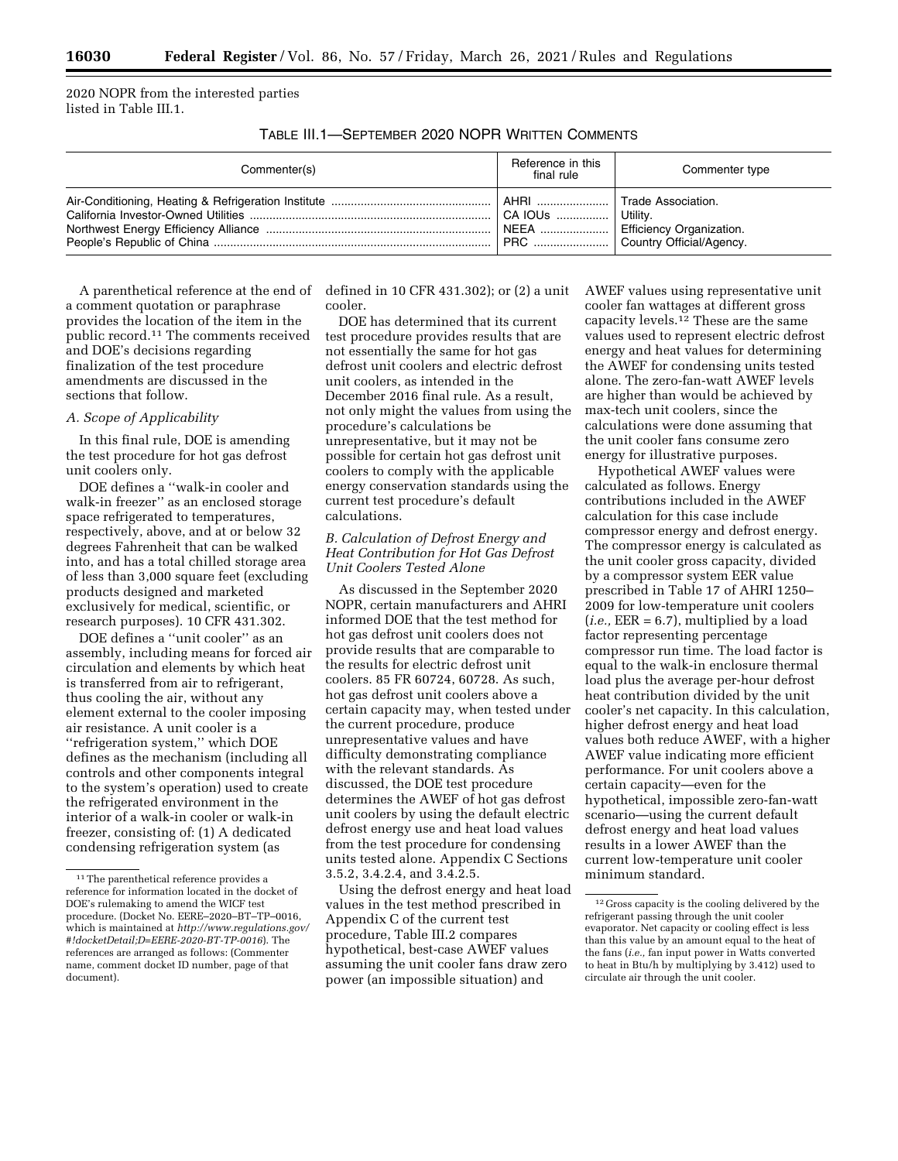2020 NOPR from the interested parties listed in Table III.1.

TABLE III.1—SEPTEMBER 2020 NOPR WRITTEN COMMENTS

| Commenter(s) | Reference in this<br>final rule | Commenter type                                                                                |
|--------------|---------------------------------|-----------------------------------------------------------------------------------------------|
|              | <sup>1</sup> PRC                | Trade Association.<br>Utility.<br><b>Efficiency Organization.</b><br>Country Official/Agency. |

A parenthetical reference at the end of a comment quotation or paraphrase provides the location of the item in the public record.11 The comments received and DOE's decisions regarding finalization of the test procedure amendments are discussed in the sections that follow.

## *A. Scope of Applicability*

In this final rule, DOE is amending the test procedure for hot gas defrost unit coolers only.

DOE defines a ''walk-in cooler and walk-in freezer'' as an enclosed storage space refrigerated to temperatures, respectively, above, and at or below 32 degrees Fahrenheit that can be walked into, and has a total chilled storage area of less than 3,000 square feet (excluding products designed and marketed exclusively for medical, scientific, or research purposes). 10 CFR 431.302.

DOE defines a ''unit cooler'' as an assembly, including means for forced air circulation and elements by which heat is transferred from air to refrigerant, thus cooling the air, without any element external to the cooler imposing air resistance. A unit cooler is a ''refrigeration system,'' which DOE defines as the mechanism (including all controls and other components integral to the system's operation) used to create the refrigerated environment in the interior of a walk-in cooler or walk-in freezer, consisting of: (1) A dedicated condensing refrigeration system (as

defined in 10 CFR 431.302); or (2) a unit cooler.

DOE has determined that its current test procedure provides results that are not essentially the same for hot gas defrost unit coolers and electric defrost unit coolers, as intended in the December 2016 final rule. As a result, not only might the values from using the procedure's calculations be unrepresentative, but it may not be possible for certain hot gas defrost unit coolers to comply with the applicable energy conservation standards using the current test procedure's default calculations.

# *B. Calculation of Defrost Energy and Heat Contribution for Hot Gas Defrost Unit Coolers Tested Alone*

As discussed in the September 2020 NOPR, certain manufacturers and AHRI informed DOE that the test method for hot gas defrost unit coolers does not provide results that are comparable to the results for electric defrost unit coolers. 85 FR 60724, 60728. As such, hot gas defrost unit coolers above a certain capacity may, when tested under the current procedure, produce unrepresentative values and have difficulty demonstrating compliance with the relevant standards. As discussed, the DOE test procedure determines the AWEF of hot gas defrost unit coolers by using the default electric defrost energy use and heat load values from the test procedure for condensing units tested alone. Appendix C Sections 3.5.2, 3.4.2.4, and 3.4.2.5.

Using the defrost energy and heat load values in the test method prescribed in Appendix C of the current test procedure, Table III.2 compares hypothetical, best-case AWEF values assuming the unit cooler fans draw zero power (an impossible situation) and

AWEF values using representative unit cooler fan wattages at different gross capacity levels.12 These are the same values used to represent electric defrost energy and heat values for determining the AWEF for condensing units tested alone. The zero-fan-watt AWEF levels are higher than would be achieved by max-tech unit coolers, since the calculations were done assuming that the unit cooler fans consume zero energy for illustrative purposes.

Hypothetical AWEF values were calculated as follows. Energy contributions included in the AWEF calculation for this case include compressor energy and defrost energy. The compressor energy is calculated as the unit cooler gross capacity, divided by a compressor system EER value prescribed in Table 17 of AHRI 1250– 2009 for low-temperature unit coolers  $(i.e., EER = 6.7)$ , multiplied by a load factor representing percentage compressor run time. The load factor is equal to the walk-in enclosure thermal load plus the average per-hour defrost heat contribution divided by the unit cooler's net capacity. In this calculation, higher defrost energy and heat load values both reduce AWEF, with a higher AWEF value indicating more efficient performance. For unit coolers above a certain capacity—even for the hypothetical, impossible zero-fan-watt scenario—using the current default defrost energy and heat load values results in a lower AWEF than the current low-temperature unit cooler minimum standard.

<sup>&</sup>lt;sup>11</sup>The parenthetical reference provides a reference for information located in the docket of DOE's rulemaking to amend the WICF test procedure. (Docket No. EERE–2020–BT–TP–0016, which is maintained at *[http://www.regulations.gov/](http://www.regulations.gov/#!docketDetail;D=EERE-2020-BT-TP-0016)  [#!docketDetail;D=EERE-2020-BT-TP-0016](http://www.regulations.gov/#!docketDetail;D=EERE-2020-BT-TP-0016)*). The references are arranged as follows: (Commenter name, comment docket ID number, page of that document).

<sup>12</sup> Gross capacity is the cooling delivered by the refrigerant passing through the unit cooler evaporator. Net capacity or cooling effect is less than this value by an amount equal to the heat of the fans (*i.e.,* fan input power in Watts converted to heat in Btu/h by multiplying by 3.412) used to circulate air through the unit cooler.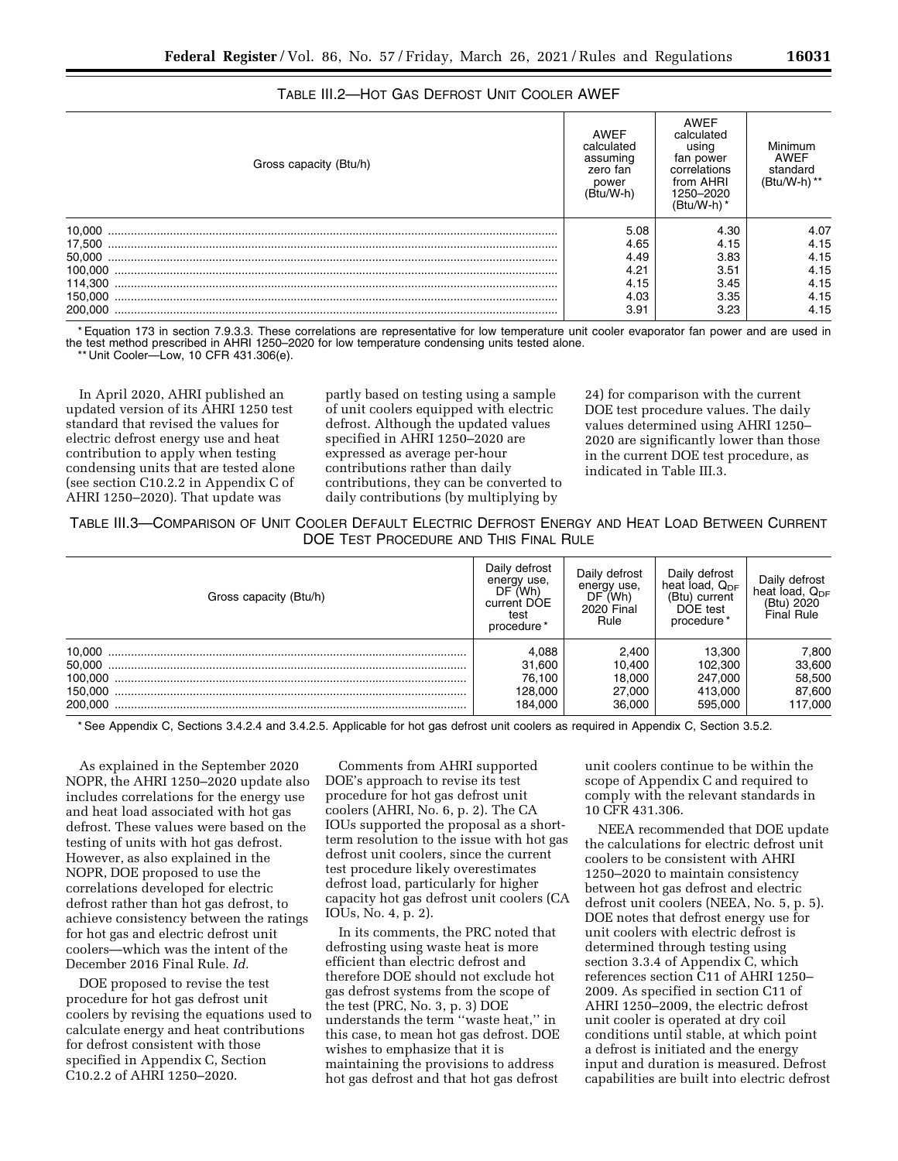# TABLE III.2—HOT GAS DEFROST UNIT COOLER AWEF

| Gross capacity (Btu/h) | AWEF<br>calculated<br>assuming<br>zero fan<br>power<br>(Btu/W-h) | <b>AWEF</b><br>calculated<br>using<br>fan power<br>correlations<br>from AHRI<br>1250-2020<br>$(Btu/W-h)$ * | Minimum<br>AWEF<br>standard<br>(Btu/W-h) ** |
|------------------------|------------------------------------------------------------------|------------------------------------------------------------------------------------------------------------|---------------------------------------------|
| 10.000                 | 5.08                                                             | 4.30                                                                                                       | 4.07                                        |
| 17.500                 | 4.65                                                             | 4.15                                                                                                       | 4.15                                        |
|                        | 4.49                                                             | 3.83                                                                                                       | 4.15                                        |
| 100.000                | 4.21                                                             | 3.51                                                                                                       | 4.15                                        |
| 114.300                | 4.15                                                             | 3.45                                                                                                       | 4.15                                        |
| 150.000                | 4.03                                                             | 3.35                                                                                                       | 4.15                                        |
| 200.000                | 3.91                                                             | 3.23                                                                                                       | 4.15                                        |

\* Equation 173 in section 7.9.3.3. These correlations are representative for low temperature unit cooler evaporator fan power and are used in the test method prescribed in AHRI 1250–2020 for low temperature condensing units tested alone.

'Unit Cooler—Low, 10 CFR 431.306(e).

In April 2020, AHRI published an updated version of its AHRI 1250 test standard that revised the values for electric defrost energy use and heat contribution to apply when testing condensing units that are tested alone (see section C10.2.2 in Appendix C of AHRI 1250–2020). That update was

partly based on testing using a sample of unit coolers equipped with electric defrost. Although the updated values specified in AHRI 1250–2020 are expressed as average per-hour contributions rather than daily contributions, they can be converted to daily contributions (by multiplying by

24) for comparison with the current DOE test procedure values. The daily values determined using AHRI 1250– 2020 are significantly lower than those in the current DOE test procedure, as indicated in Table III.3.

TABLE III.3—COMPARISON OF UNIT COOLER DEFAULT ELECTRIC DEFROST ENERGY AND HEAT LOAD BETWEEN CURRENT DOE TEST PROCEDURE AND THIS FINAL RULE

| Gross capacity (Btu/h) | Daily defrost<br>energy use,<br>DF (Wh)<br>current DOE<br>test<br>procedure* | Daily defrost<br>energy use.<br>DF(Wh)<br><b>2020 Final</b><br>Rule | Daily defrost<br>heat load, Q <sub>DF</sub><br>(Btu) current<br>DOE test<br>procedure* | Dailv defrost<br>heat load, $Q_{DF}$<br>(Btu) 2020<br>Final Rule |
|------------------------|------------------------------------------------------------------------------|---------------------------------------------------------------------|----------------------------------------------------------------------------------------|------------------------------------------------------------------|
|                        | 4.088                                                                        | 2.400                                                               | 13.300                                                                                 | 7,800                                                            |
|                        | 31.600                                                                       | 10.400                                                              | 102.300                                                                                | 33,600                                                           |
|                        | 76.100                                                                       | 18.000                                                              | 247.000                                                                                | 58,500                                                           |
|                        | 128.000                                                                      | 27.000                                                              | 413.000                                                                                | 87,600                                                           |
| 200.000                | 184.000                                                                      | 36,000                                                              | 595,000                                                                                | 117.000                                                          |

\* See Appendix C, Sections 3.4.2.4 and 3.4.2.5. Applicable for hot gas defrost unit coolers as required in Appendix C, Section 3.5.2.

As explained in the September 2020 NOPR, the AHRI 1250–2020 update also includes correlations for the energy use and heat load associated with hot gas defrost. These values were based on the testing of units with hot gas defrost. However, as also explained in the NOPR, DOE proposed to use the correlations developed for electric defrost rather than hot gas defrost, to achieve consistency between the ratings for hot gas and electric defrost unit coolers—which was the intent of the December 2016 Final Rule. *Id.* 

DOE proposed to revise the test procedure for hot gas defrost unit coolers by revising the equations used to calculate energy and heat contributions for defrost consistent with those specified in Appendix C, Section C10.2.2 of AHRI 1250–2020.

Comments from AHRI supported DOE's approach to revise its test procedure for hot gas defrost unit coolers (AHRI, No. 6, p. 2). The CA IOUs supported the proposal as a shortterm resolution to the issue with hot gas defrost unit coolers, since the current test procedure likely overestimates defrost load, particularly for higher capacity hot gas defrost unit coolers (CA IOUs, No. 4, p. 2).

In its comments, the PRC noted that defrosting using waste heat is more efficient than electric defrost and therefore DOE should not exclude hot gas defrost systems from the scope of the test (PRC, No. 3, p. 3) DOE understands the term ''waste heat,'' in this case, to mean hot gas defrost. DOE wishes to emphasize that it is maintaining the provisions to address hot gas defrost and that hot gas defrost

unit coolers continue to be within the scope of Appendix C and required to comply with the relevant standards in 10 CFR 431.306.

NEEA recommended that DOE update the calculations for electric defrost unit coolers to be consistent with AHRI 1250–2020 to maintain consistency between hot gas defrost and electric defrost unit coolers (NEEA, No. 5, p. 5). DOE notes that defrost energy use for unit coolers with electric defrost is determined through testing using section 3.3.4 of Appendix C, which references section C11 of AHRI 1250– 2009. As specified in section C11 of AHRI 1250–2009, the electric defrost unit cooler is operated at dry coil conditions until stable, at which point a defrost is initiated and the energy input and duration is measured. Defrost capabilities are built into electric defrost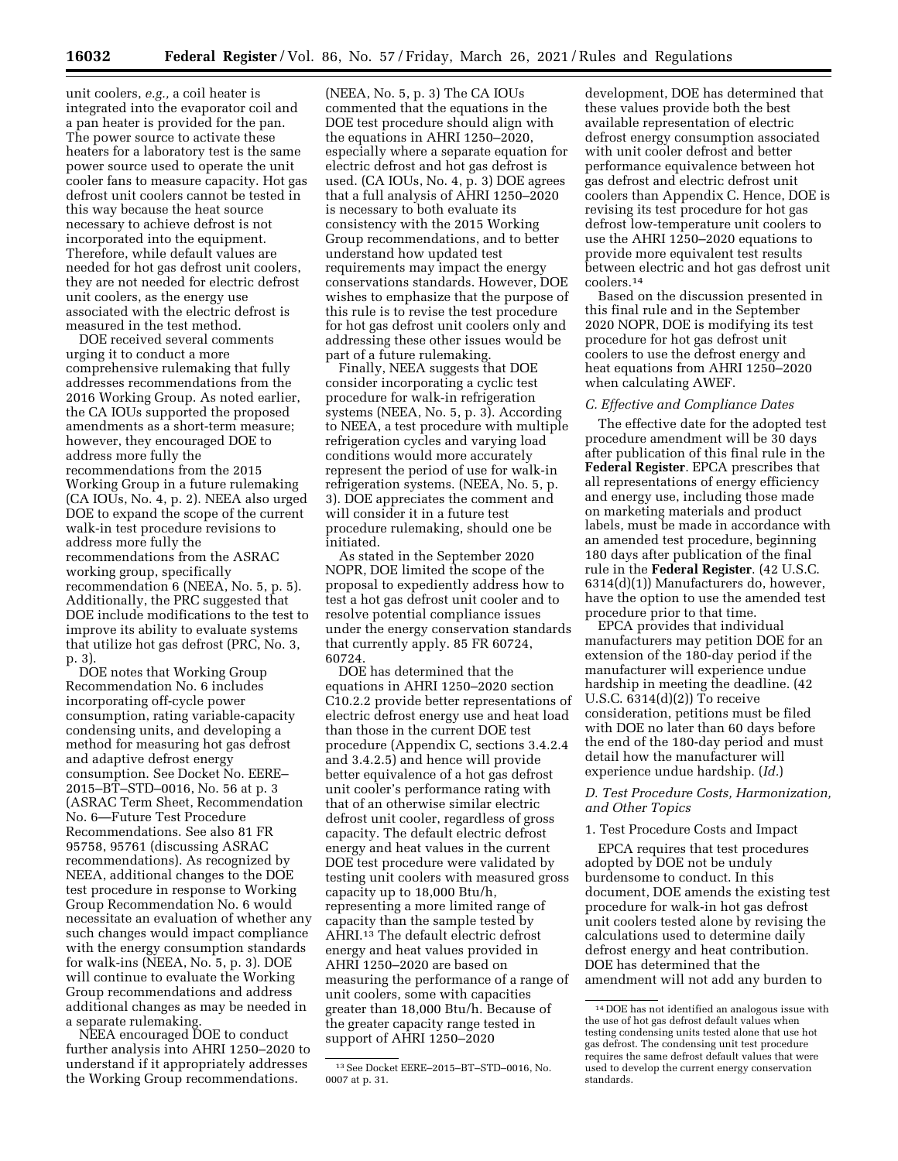unit coolers, *e.g.,* a coil heater is integrated into the evaporator coil and a pan heater is provided for the pan. The power source to activate these heaters for a laboratory test is the same power source used to operate the unit cooler fans to measure capacity. Hot gas defrost unit coolers cannot be tested in this way because the heat source necessary to achieve defrost is not incorporated into the equipment. Therefore, while default values are needed for hot gas defrost unit coolers, they are not needed for electric defrost unit coolers, as the energy use associated with the electric defrost is measured in the test method.

DOE received several comments urging it to conduct a more comprehensive rulemaking that fully addresses recommendations from the 2016 Working Group. As noted earlier, the CA IOUs supported the proposed amendments as a short-term measure; however, they encouraged DOE to address more fully the recommendations from the 2015 Working Group in a future rulemaking (CA IOUs, No. 4, p. 2). NEEA also urged DOE to expand the scope of the current walk-in test procedure revisions to address more fully the recommendations from the ASRAC working group, specifically recommendation 6 (NEEA, No. 5, p. 5). Additionally, the PRC suggested that DOE include modifications to the test to improve its ability to evaluate systems that utilize hot gas defrost (PRC, No. 3, p. 3).

DOE notes that Working Group Recommendation No. 6 includes incorporating off-cycle power consumption, rating variable-capacity condensing units, and developing a method for measuring hot gas defrost and adaptive defrost energy consumption. See Docket No. EERE– 2015–BT–STD–0016, No. 56 at p. 3 (ASRAC Term Sheet, Recommendation No. 6—Future Test Procedure Recommendations. See also 81 FR 95758, 95761 (discussing ASRAC recommendations). As recognized by NEEA, additional changes to the DOE test procedure in response to Working Group Recommendation No. 6 would necessitate an evaluation of whether any such changes would impact compliance with the energy consumption standards for walk-ins (NEEA, No. 5, p. 3). DOE will continue to evaluate the Working Group recommendations and address additional changes as may be needed in a separate rulemaking.

NEEA encouraged DOE to conduct further analysis into AHRI 1250–2020 to understand if it appropriately addresses the Working Group recommendations.

(NEEA, No. 5, p. 3) The CA IOUs commented that the equations in the DOE test procedure should align with the equations in AHRI 1250–2020, especially where a separate equation for electric defrost and hot gas defrost is used. (CA IOUs, No. 4, p. 3) DOE agrees that a full analysis of AHRI 1250–2020 is necessary to both evaluate its consistency with the 2015 Working Group recommendations, and to better understand how updated test requirements may impact the energy conservations standards. However, DOE wishes to emphasize that the purpose of this rule is to revise the test procedure for hot gas defrost unit coolers only and addressing these other issues would be part of a future rulemaking.

Finally, NEEA suggests that DOE consider incorporating a cyclic test procedure for walk-in refrigeration systems (NEEA, No. 5, p. 3). According to NEEA, a test procedure with multiple refrigeration cycles and varying load conditions would more accurately represent the period of use for walk-in refrigeration systems. (NEEA, No. 5, p. 3). DOE appreciates the comment and will consider it in a future test procedure rulemaking, should one be initiated.

As stated in the September 2020 NOPR, DOE limited the scope of the proposal to expediently address how to test a hot gas defrost unit cooler and to resolve potential compliance issues under the energy conservation standards that currently apply. 85 FR 60724, 60724.

DOE has determined that the equations in AHRI 1250–2020 section C10.2.2 provide better representations of electric defrost energy use and heat load than those in the current DOE test procedure (Appendix C, sections 3.4.2.4 and 3.4.2.5) and hence will provide better equivalence of a hot gas defrost unit cooler's performance rating with that of an otherwise similar electric defrost unit cooler, regardless of gross capacity. The default electric defrost energy and heat values in the current DOE test procedure were validated by testing unit coolers with measured gross capacity up to 18,000 Btu/h, representing a more limited range of capacity than the sample tested by AHRI.13 The default electric defrost energy and heat values provided in AHRI 1250–2020 are based on measuring the performance of a range of unit coolers, some with capacities greater than 18,000 Btu/h. Because of the greater capacity range tested in support of AHRI 1250–2020

development, DOE has determined that these values provide both the best available representation of electric defrost energy consumption associated with unit cooler defrost and better performance equivalence between hot gas defrost and electric defrost unit coolers than Appendix C. Hence, DOE is revising its test procedure for hot gas defrost low-temperature unit coolers to use the AHRI 1250–2020 equations to provide more equivalent test results between electric and hot gas defrost unit coolers.14

Based on the discussion presented in this final rule and in the September 2020 NOPR, DOE is modifying its test procedure for hot gas defrost unit coolers to use the defrost energy and heat equations from AHRI 1250–2020 when calculating AWEF.

#### *C. Effective and Compliance Dates*

The effective date for the adopted test procedure amendment will be 30 days after publication of this final rule in the **Federal Register**. EPCA prescribes that all representations of energy efficiency and energy use, including those made on marketing materials and product labels, must be made in accordance with an amended test procedure, beginning 180 days after publication of the final rule in the **Federal Register**. (42 U.S.C. 6314(d)(1)) Manufacturers do, however, have the option to use the amended test procedure prior to that time.

EPCA provides that individual manufacturers may petition DOE for an extension of the 180-day period if the manufacturer will experience undue hardship in meeting the deadline. (42 U.S.C. 6314(d)(2)) To receive consideration, petitions must be filed with DOE no later than 60 days before the end of the 180-day period and must detail how the manufacturer will experience undue hardship. (*Id.*)

# *D. Test Procedure Costs, Harmonization, and Other Topics*

# 1. Test Procedure Costs and Impact

EPCA requires that test procedures adopted by DOE not be unduly burdensome to conduct. In this document, DOE amends the existing test procedure for walk-in hot gas defrost unit coolers tested alone by revising the calculations used to determine daily defrost energy and heat contribution. DOE has determined that the amendment will not add any burden to

<sup>13</sup>See Docket EERE–2015–BT–STD–0016, No. 0007 at p. 31.

<sup>14</sup> DOE has not identified an analogous issue with the use of hot gas defrost default values when testing condensing units tested alone that use hot gas defrost. The condensing unit test procedure requires the same defrost default values that were used to develop the current energy conservation standards.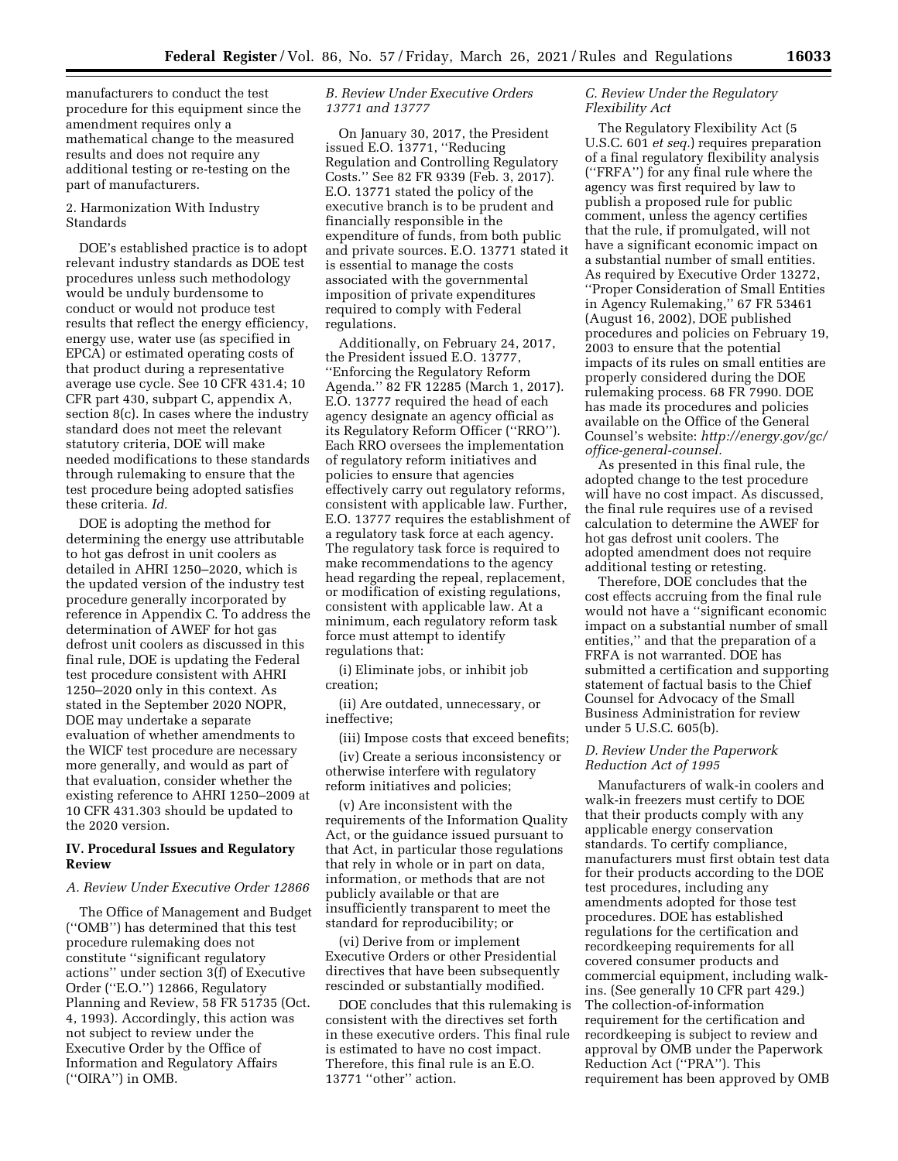manufacturers to conduct the test procedure for this equipment since the amendment requires only a mathematical change to the measured results and does not require any additional testing or re-testing on the part of manufacturers.

# 2. Harmonization With Industry Standards

DOE's established practice is to adopt relevant industry standards as DOE test procedures unless such methodology would be unduly burdensome to conduct or would not produce test results that reflect the energy efficiency, energy use, water use (as specified in EPCA) or estimated operating costs of that product during a representative average use cycle. See 10 CFR 431.4; 10 CFR part 430, subpart C, appendix A, section 8(c). In cases where the industry standard does not meet the relevant statutory criteria, DOE will make needed modifications to these standards through rulemaking to ensure that the test procedure being adopted satisfies these criteria. *Id.* 

DOE is adopting the method for determining the energy use attributable to hot gas defrost in unit coolers as detailed in AHRI 1250–2020, which is the updated version of the industry test procedure generally incorporated by reference in Appendix C. To address the determination of AWEF for hot gas defrost unit coolers as discussed in this final rule, DOE is updating the Federal test procedure consistent with AHRI 1250–2020 only in this context. As stated in the September 2020 NOPR, DOE may undertake a separate evaluation of whether amendments to the WICF test procedure are necessary more generally, and would as part of that evaluation, consider whether the existing reference to AHRI 1250–2009 at 10 CFR 431.303 should be updated to the 2020 version.

#### **IV. Procedural Issues and Regulatory Review**

### *A. Review Under Executive Order 12866*

The Office of Management and Budget (''OMB'') has determined that this test procedure rulemaking does not constitute ''significant regulatory actions'' under section 3(f) of Executive Order (''E.O.'') 12866, Regulatory Planning and Review, 58 FR 51735 (Oct. 4, 1993). Accordingly, this action was not subject to review under the Executive Order by the Office of Information and Regulatory Affairs (''OIRA'') in OMB.

# *B. Review Under Executive Orders 13771 and 13777*

On January 30, 2017, the President issued E.O. 13771, ''Reducing Regulation and Controlling Regulatory Costs.'' See 82 FR 9339 (Feb. 3, 2017). E.O. 13771 stated the policy of the executive branch is to be prudent and financially responsible in the expenditure of funds, from both public and private sources. E.O. 13771 stated it is essential to manage the costs associated with the governmental imposition of private expenditures required to comply with Federal regulations.

Additionally, on February 24, 2017, the President issued E.O. 13777, ''Enforcing the Regulatory Reform Agenda.'' 82 FR 12285 (March 1, 2017). E.O. 13777 required the head of each agency designate an agency official as its Regulatory Reform Officer (''RRO''). Each RRO oversees the implementation of regulatory reform initiatives and policies to ensure that agencies effectively carry out regulatory reforms, consistent with applicable law. Further, E.O. 13777 requires the establishment of a regulatory task force at each agency. The regulatory task force is required to make recommendations to the agency head regarding the repeal, replacement, or modification of existing regulations, consistent with applicable law. At a minimum, each regulatory reform task force must attempt to identify regulations that:

(i) Eliminate jobs, or inhibit job creation;

(ii) Are outdated, unnecessary, or ineffective;

(iii) Impose costs that exceed benefits;

(iv) Create a serious inconsistency or otherwise interfere with regulatory reform initiatives and policies;

(v) Are inconsistent with the requirements of the Information Quality Act, or the guidance issued pursuant to that Act, in particular those regulations that rely in whole or in part on data, information, or methods that are not publicly available or that are insufficiently transparent to meet the standard for reproducibility; or

(vi) Derive from or implement Executive Orders or other Presidential directives that have been subsequently rescinded or substantially modified.

DOE concludes that this rulemaking is consistent with the directives set forth in these executive orders. This final rule is estimated to have no cost impact. Therefore, this final rule is an E.O. 13771 ''other'' action.

#### *C. Review Under the Regulatory Flexibility Act*

The Regulatory Flexibility Act (5 U.S.C. 601 *et seq.*) requires preparation of a final regulatory flexibility analysis (''FRFA'') for any final rule where the agency was first required by law to publish a proposed rule for public comment, unless the agency certifies that the rule, if promulgated, will not have a significant economic impact on a substantial number of small entities. As required by Executive Order 13272, ''Proper Consideration of Small Entities in Agency Rulemaking,'' 67 FR 53461 (August 16, 2002), DOE published procedures and policies on February 19, 2003 to ensure that the potential impacts of its rules on small entities are properly considered during the DOE rulemaking process. 68 FR 7990. DOE has made its procedures and policies available on the Office of the General Counsel's website: *[http://energy.gov/gc/](http://energy.gov/gc/office-general-counsel) [office-general-counsel.](http://energy.gov/gc/office-general-counsel)* 

As presented in this final rule, the adopted change to the test procedure will have no cost impact. As discussed, the final rule requires use of a revised calculation to determine the AWEF for hot gas defrost unit coolers. The adopted amendment does not require additional testing or retesting.

Therefore, DOE concludes that the cost effects accruing from the final rule would not have a ''significant economic impact on a substantial number of small entities,'' and that the preparation of a FRFA is not warranted. DOE has submitted a certification and supporting statement of factual basis to the Chief Counsel for Advocacy of the Small Business Administration for review under 5 U.S.C. 605(b).

# *D. Review Under the Paperwork Reduction Act of 1995*

Manufacturers of walk-in coolers and walk-in freezers must certify to DOE that their products comply with any applicable energy conservation standards. To certify compliance, manufacturers must first obtain test data for their products according to the DOE test procedures, including any amendments adopted for those test procedures. DOE has established regulations for the certification and recordkeeping requirements for all covered consumer products and commercial equipment, including walkins. (See generally 10 CFR part 429.) The collection-of-information requirement for the certification and recordkeeping is subject to review and approval by OMB under the Paperwork Reduction Act (''PRA''). This requirement has been approved by OMB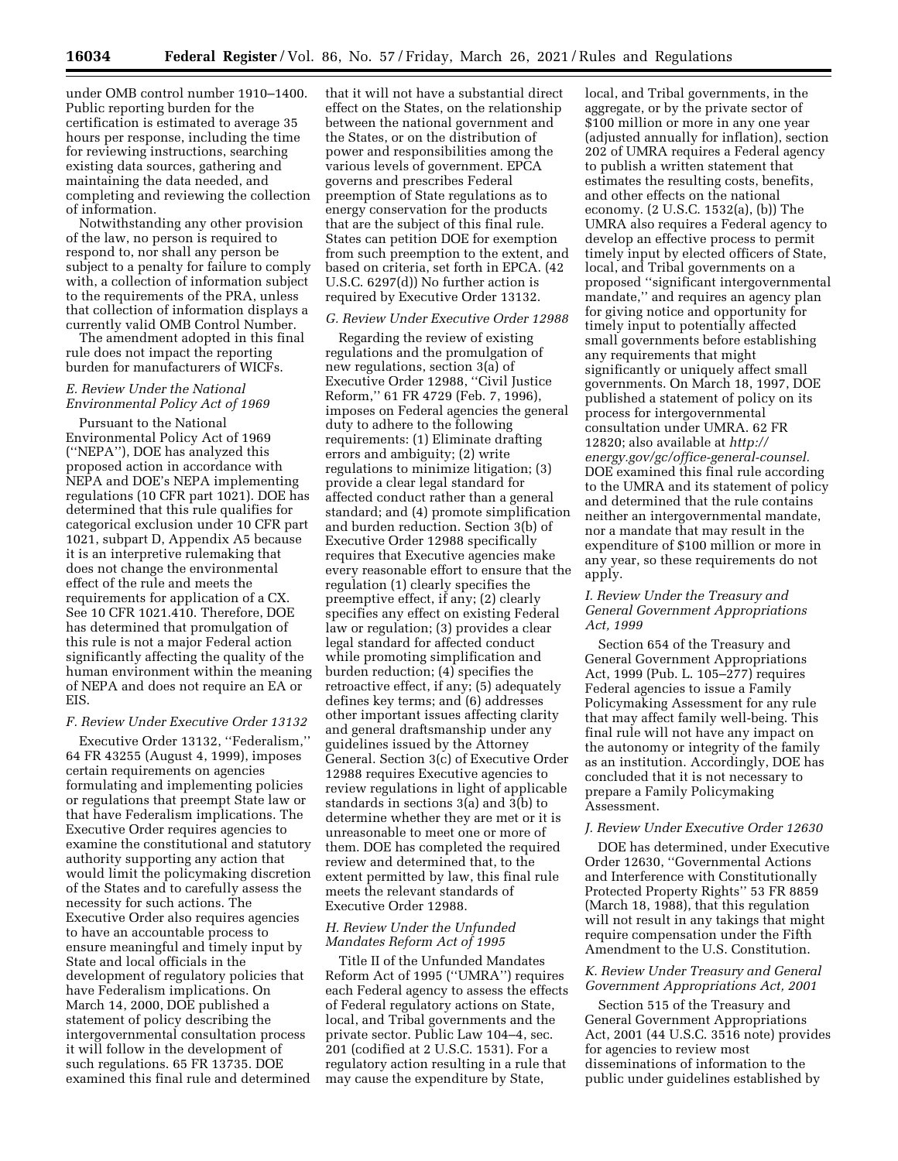under OMB control number 1910–1400. Public reporting burden for the certification is estimated to average 35 hours per response, including the time for reviewing instructions, searching existing data sources, gathering and maintaining the data needed, and completing and reviewing the collection of information.

Notwithstanding any other provision of the law, no person is required to respond to, nor shall any person be subject to a penalty for failure to comply with, a collection of information subject to the requirements of the PRA, unless that collection of information displays a currently valid OMB Control Number.

The amendment adopted in this final rule does not impact the reporting burden for manufacturers of WICFs.

# *E. Review Under the National Environmental Policy Act of 1969*

Pursuant to the National Environmental Policy Act of 1969 (''NEPA''), DOE has analyzed this proposed action in accordance with NEPA and DOE's NEPA implementing regulations (10 CFR part 1021). DOE has determined that this rule qualifies for categorical exclusion under 10 CFR part 1021, subpart D, Appendix A5 because it is an interpretive rulemaking that does not change the environmental effect of the rule and meets the requirements for application of a CX. See 10 CFR 1021.410. Therefore, DOE has determined that promulgation of this rule is not a major Federal action significantly affecting the quality of the human environment within the meaning of NEPA and does not require an EA or EIS.

#### *F. Review Under Executive Order 13132*

Executive Order 13132, ''Federalism,'' 64 FR 43255 (August 4, 1999), imposes certain requirements on agencies formulating and implementing policies or regulations that preempt State law or that have Federalism implications. The Executive Order requires agencies to examine the constitutional and statutory authority supporting any action that would limit the policymaking discretion of the States and to carefully assess the necessity for such actions. The Executive Order also requires agencies to have an accountable process to ensure meaningful and timely input by State and local officials in the development of regulatory policies that have Federalism implications. On March 14, 2000, DOE published a statement of policy describing the intergovernmental consultation process it will follow in the development of such regulations. 65 FR 13735. DOE examined this final rule and determined

that it will not have a substantial direct effect on the States, on the relationship between the national government and the States, or on the distribution of power and responsibilities among the various levels of government. EPCA governs and prescribes Federal preemption of State regulations as to energy conservation for the products that are the subject of this final rule. States can petition DOE for exemption from such preemption to the extent, and based on criteria, set forth in EPCA. (42 U.S.C. 6297(d)) No further action is required by Executive Order 13132.

# *G. Review Under Executive Order 12988*

Regarding the review of existing regulations and the promulgation of new regulations, section 3(a) of Executive Order 12988, ''Civil Justice Reform,'' 61 FR 4729 (Feb. 7, 1996), imposes on Federal agencies the general duty to adhere to the following requirements: (1) Eliminate drafting errors and ambiguity; (2) write regulations to minimize litigation; (3) provide a clear legal standard for affected conduct rather than a general standard; and (4) promote simplification and burden reduction. Section 3(b) of Executive Order 12988 specifically requires that Executive agencies make every reasonable effort to ensure that the regulation (1) clearly specifies the preemptive effect, if any; (2) clearly specifies any effect on existing Federal law or regulation; (3) provides a clear legal standard for affected conduct while promoting simplification and burden reduction; (4) specifies the retroactive effect, if any; (5) adequately defines key terms; and (6) addresses other important issues affecting clarity and general draftsmanship under any guidelines issued by the Attorney General. Section 3(c) of Executive Order 12988 requires Executive agencies to review regulations in light of applicable standards in sections 3(a) and 3(b) to determine whether they are met or it is unreasonable to meet one or more of them. DOE has completed the required review and determined that, to the extent permitted by law, this final rule meets the relevant standards of Executive Order 12988.

#### *H. Review Under the Unfunded Mandates Reform Act of 1995*

Title II of the Unfunded Mandates Reform Act of 1995 (''UMRA'') requires each Federal agency to assess the effects of Federal regulatory actions on State, local, and Tribal governments and the private sector. Public Law 104–4, sec. 201 (codified at 2 U.S.C. 1531). For a regulatory action resulting in a rule that may cause the expenditure by State,

local, and Tribal governments, in the aggregate, or by the private sector of \$100 million or more in any one year (adjusted annually for inflation), section 202 of UMRA requires a Federal agency to publish a written statement that estimates the resulting costs, benefits, and other effects on the national economy. (2 U.S.C. 1532(a), (b)) The UMRA also requires a Federal agency to develop an effective process to permit timely input by elected officers of State, local, and Tribal governments on a proposed ''significant intergovernmental mandate,'' and requires an agency plan for giving notice and opportunity for timely input to potentially affected small governments before establishing any requirements that might significantly or uniquely affect small governments. On March 18, 1997, DOE published a statement of policy on its process for intergovernmental consultation under UMRA. 62 FR 12820; also available at *[http://](http://energy.gov/gc/office-general-counsel) [energy.gov/gc/office-general-counsel.](http://energy.gov/gc/office-general-counsel)*  DOE examined this final rule according to the UMRA and its statement of policy and determined that the rule contains neither an intergovernmental mandate, nor a mandate that may result in the expenditure of \$100 million or more in any year, so these requirements do not apply.

# *I. Review Under the Treasury and General Government Appropriations Act, 1999*

Section 654 of the Treasury and General Government Appropriations Act, 1999 (Pub. L. 105–277) requires Federal agencies to issue a Family Policymaking Assessment for any rule that may affect family well-being. This final rule will not have any impact on the autonomy or integrity of the family as an institution. Accordingly, DOE has concluded that it is not necessary to prepare a Family Policymaking Assessment.

# *J. Review Under Executive Order 12630*

DOE has determined, under Executive Order 12630, ''Governmental Actions and Interference with Constitutionally Protected Property Rights'' 53 FR 8859 (March 18, 1988), that this regulation will not result in any takings that might require compensation under the Fifth Amendment to the U.S. Constitution.

### *K. Review Under Treasury and General Government Appropriations Act, 2001*

Section 515 of the Treasury and General Government Appropriations Act, 2001 (44 U.S.C. 3516 note) provides for agencies to review most disseminations of information to the public under guidelines established by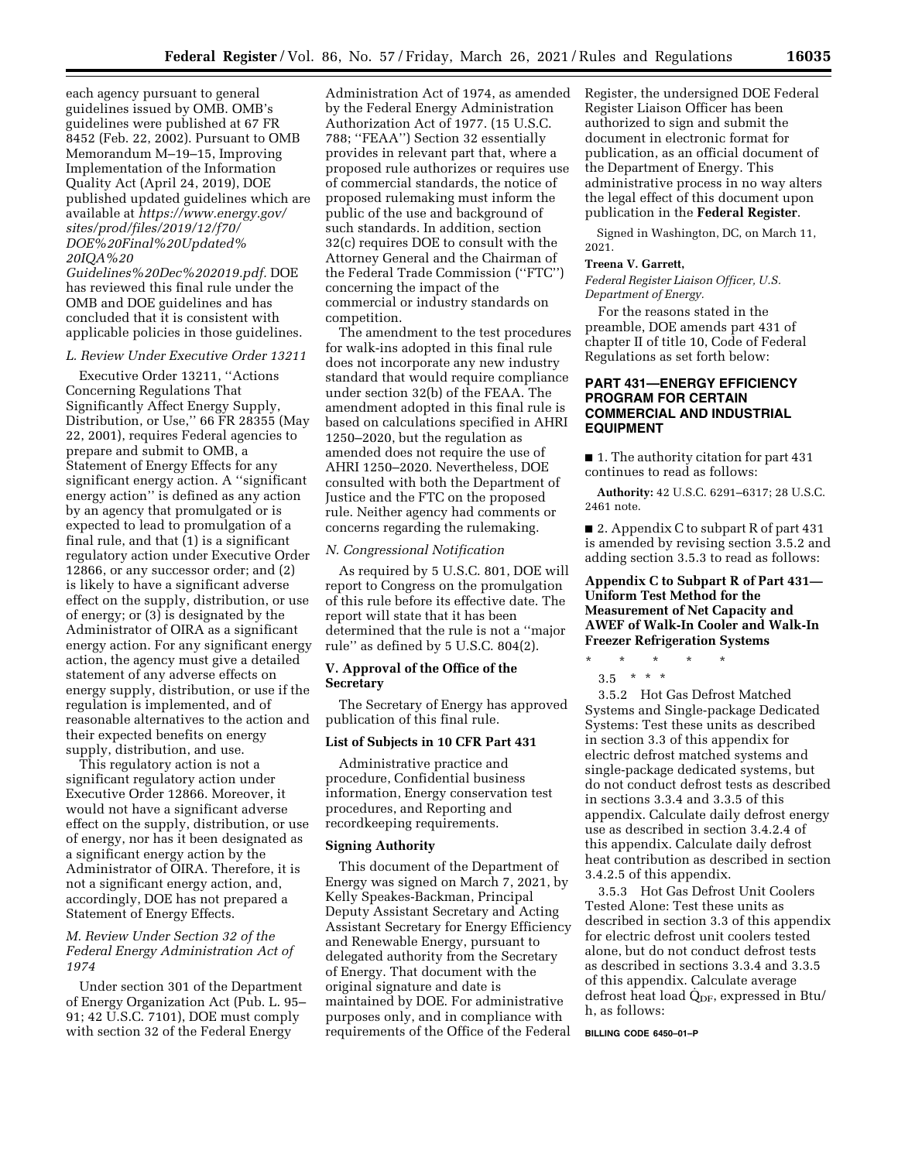each agency pursuant to general guidelines issued by OMB. OMB's guidelines were published at 67 FR 8452 (Feb. 22, 2002). Pursuant to OMB Memorandum M–19–15, Improving Implementation of the Information Quality Act (April 24, 2019), DOE published updated guidelines which are available at *[https://www.energy.gov/](https://www.energy.gov/sites/prod/files/2019/12/f70/DOE%20Final%20Updated%20IQA%20Guidelines%20Dec%202019.pdf) [sites/prod/files/2019/12/f70/](https://www.energy.gov/sites/prod/files/2019/12/f70/DOE%20Final%20Updated%20IQA%20Guidelines%20Dec%202019.pdf) [DOE%20Final%20Updated%](https://www.energy.gov/sites/prod/files/2019/12/f70/DOE%20Final%20Updated%20IQA%20Guidelines%20Dec%202019.pdf) [20IQA%20](https://www.energy.gov/sites/prod/files/2019/12/f70/DOE%20Final%20Updated%20IQA%20Guidelines%20Dec%202019.pdf)*

*[Guidelines%20Dec%202019.pdf.](https://www.energy.gov/sites/prod/files/2019/12/f70/DOE%20Final%20Updated%20IQA%20Guidelines%20Dec%202019.pdf)* DOE has reviewed this final rule under the OMB and DOE guidelines and has concluded that it is consistent with applicable policies in those guidelines.

#### *L. Review Under Executive Order 13211*

Executive Order 13211, ''Actions Concerning Regulations That Significantly Affect Energy Supply, Distribution, or Use,'' 66 FR 28355 (May 22, 2001), requires Federal agencies to prepare and submit to OMB, a Statement of Energy Effects for any significant energy action. A ''significant energy action'' is defined as any action by an agency that promulgated or is expected to lead to promulgation of a final rule, and that (1) is a significant regulatory action under Executive Order 12866, or any successor order; and (2) is likely to have a significant adverse effect on the supply, distribution, or use of energy; or (3) is designated by the Administrator of OIRA as a significant energy action. For any significant energy action, the agency must give a detailed statement of any adverse effects on energy supply, distribution, or use if the regulation is implemented, and of reasonable alternatives to the action and their expected benefits on energy supply, distribution, and use.

This regulatory action is not a significant regulatory action under Executive Order 12866. Moreover, it would not have a significant adverse effect on the supply, distribution, or use of energy, nor has it been designated as a significant energy action by the Administrator of OIRA. Therefore, it is not a significant energy action, and, accordingly, DOE has not prepared a Statement of Energy Effects.

# *M. Review Under Section 32 of the Federal Energy Administration Act of 1974*

Under section 301 of the Department of Energy Organization Act (Pub. L. 95– 91; 42 U.S.C. 7101), DOE must comply with section 32 of the Federal Energy

Administration Act of 1974, as amended by the Federal Energy Administration Authorization Act of 1977. (15 U.S.C. 788; ''FEAA'') Section 32 essentially provides in relevant part that, where a proposed rule authorizes or requires use of commercial standards, the notice of proposed rulemaking must inform the public of the use and background of such standards. In addition, section 32(c) requires DOE to consult with the Attorney General and the Chairman of the Federal Trade Commission (''FTC'') concerning the impact of the commercial or industry standards on competition.

The amendment to the test procedures for walk-ins adopted in this final rule does not incorporate any new industry standard that would require compliance under section 32(b) of the FEAA. The amendment adopted in this final rule is based on calculations specified in AHRI 1250–2020, but the regulation as amended does not require the use of AHRI 1250–2020. Nevertheless, DOE consulted with both the Department of Justice and the FTC on the proposed rule. Neither agency had comments or concerns regarding the rulemaking.

#### *N. Congressional Notification*

As required by 5 U.S.C. 801, DOE will report to Congress on the promulgation of this rule before its effective date. The report will state that it has been determined that the rule is not a ''major rule'' as defined by 5 U.S.C. 804(2).

# **V. Approval of the Office of the Secretary**

The Secretary of Energy has approved publication of this final rule.

# **List of Subjects in 10 CFR Part 431**

Administrative practice and procedure, Confidential business information, Energy conservation test procedures, and Reporting and recordkeeping requirements.

#### **Signing Authority**

This document of the Department of Energy was signed on March 7, 2021, by Kelly Speakes-Backman, Principal Deputy Assistant Secretary and Acting Assistant Secretary for Energy Efficiency and Renewable Energy, pursuant to delegated authority from the Secretary of Energy. That document with the original signature and date is maintained by DOE. For administrative purposes only, and in compliance with requirements of the Office of the Federal Register, the undersigned DOE Federal Register Liaison Officer has been authorized to sign and submit the document in electronic format for publication, as an official document of the Department of Energy. This administrative process in no way alters the legal effect of this document upon publication in the **Federal Register**.

Signed in Washington, DC, on March 11, 2021.

# **Treena V. Garrett,**

*Federal Register Liaison Officer, U.S. Department of Energy.* 

For the reasons stated in the preamble, DOE amends part 431 of chapter II of title 10, Code of Federal Regulations as set forth below:

# **PART 431—ENERGY EFFICIENCY PROGRAM FOR CERTAIN COMMERCIAL AND INDUSTRIAL EQUIPMENT**

■ 1. The authority citation for part 431 continues to read as follows:

**Authority:** 42 U.S.C. 6291–6317; 28 U.S.C. 2461 note.

■ 2. Appendix C to subpart R of part 431 is amended by revising section 3.5.2 and adding section 3.5.3 to read as follows:

# **Appendix C to Subpart R of Part 431— Uniform Test Method for the Measurement of Net Capacity and AWEF of Walk-In Cooler and Walk-In Freezer Refrigeration Systems**

\* \* \* \* \* 3.5  $* * * *$ 

3.5.2 Hot Gas Defrost Matched Systems and Single-package Dedicated Systems: Test these units as described in section 3.3 of this appendix for electric defrost matched systems and single-package dedicated systems, but do not conduct defrost tests as described in sections 3.3.4 and 3.3.5 of this appendix. Calculate daily defrost energy use as described in section 3.4.2.4 of this appendix. Calculate daily defrost heat contribution as described in section 3.4.2.5 of this appendix.

3.5.3 Hot Gas Defrost Unit Coolers Tested Alone: Test these units as described in section 3.3 of this appendix for electric defrost unit coolers tested alone, but do not conduct defrost tests as described in sections 3.3.4 and 3.3.5 of this appendix. Calculate average defrost heat load  $Q_{DF}$ , expressed in Btu/ h, as follows:

#### **BILLING CODE 6450–01–P**